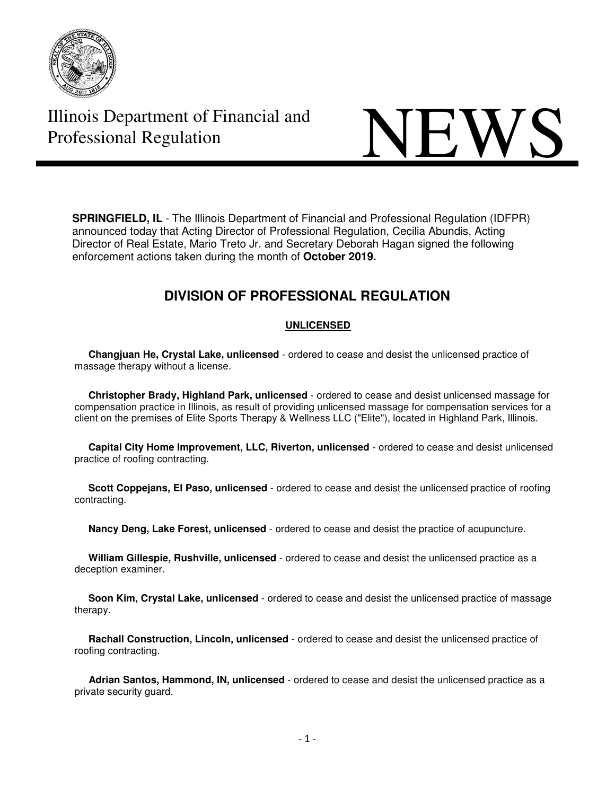

# **Illinois Department of Financial and NEWS**

**SPRINGFIELD, IL** - The Illinois Department of Financial and Professional Regulation (IDFPR) announced today that Acting Director of Professional Regulation, Cecilia Abundis, Acting Director of Real Estate, Mario Treto Jr. and Secretary Deborah Hagan signed the following enforcement actions taken during the month of **October 2019.** 

# **DIVISION OF PROFESSIONAL REGULATION**

### **UNLICENSED**

 **Changjuan He, Crystal Lake, unlicensed** - ordered to cease and desist the unlicensed practice of massage therapy without a license.

 **Christopher Brady, Highland Park, unlicensed** - ordered to cease and desist unlicensed massage for compensation practice in Illinois, as result of providing unlicensed massage for compensation services for a client on the premises of Elite Sports Therapy & Wellness LLC ("Elite"), located in Highland Park, Illinois.

 **Capital City Home Improvement, LLC, Riverton, unlicensed** - ordered to cease and desist unlicensed practice of roofing contracting.

 **Scott Coppejans, El Paso, unlicensed** - ordered to cease and desist the unlicensed practice of roofing contracting.

**Nancy Deng, Lake Forest, unlicensed** - ordered to cease and desist the practice of acupuncture.

 **William Gillespie, Rushville, unlicensed** - ordered to cease and desist the unlicensed practice as a deception examiner.

 **Soon Kim, Crystal Lake, unlicensed** - ordered to cease and desist the unlicensed practice of massage therapy.

 **Rachall Construction, Lincoln, unlicensed** - ordered to cease and desist the unlicensed practice of roofing contracting.

 **Adrian Santos, Hammond, IN, unlicensed** - ordered to cease and desist the unlicensed practice as a private security guard.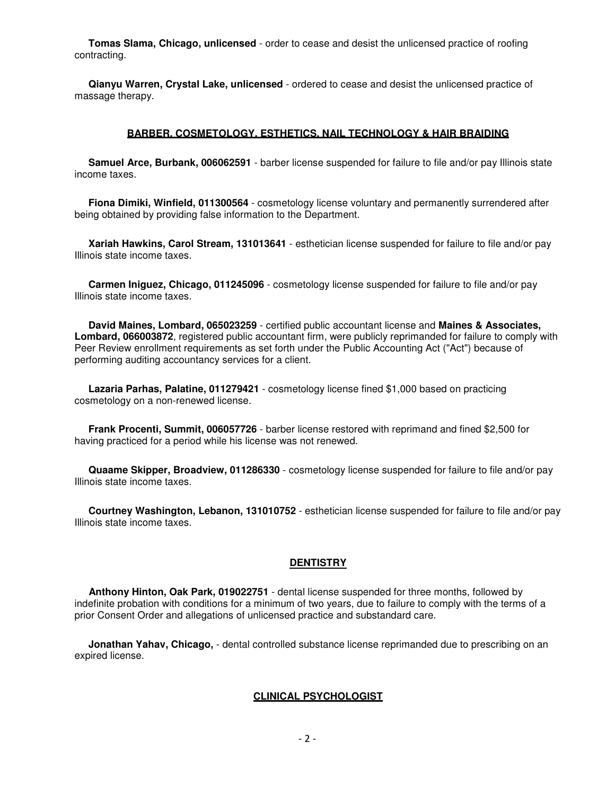**Tomas Slama, Chicago, unlicensed** - order to cease and desist the unlicensed practice of roofing contracting.

 **Qianyu Warren, Crystal Lake, unlicensed** - ordered to cease and desist the unlicensed practice of massage therapy.

#### **BARBER, COSMETOLOGY, ESTHETICS, NAIL TECHNOLOGY & HAIR BRAIDING**

 **Samuel Arce, Burbank, 006062591** - barber license suspended for failure to file and/or pay Illinois state income taxes.

 **Fiona Dimiki, Winfield, 011300564** - cosmetology license voluntary and permanently surrendered after being obtained by providing false information to the Department.

 **Xariah Hawkins, Carol Stream, 131013641** - esthetician license suspended for failure to file and/or pay Illinois state income taxes.

 **Carmen Iniguez, Chicago, 011245096** - cosmetology license suspended for failure to file and/or pay Illinois state income taxes.

 **David Maines, Lombard, 065023259** - certified public accountant license and **Maines & Associates, Lombard, 066003872**, registered public accountant firm, were publicly reprimanded for failure to comply with Peer Review enrollment requirements as set forth under the Public Accounting Act ("Act") because of performing auditing accountancy services for a client.

 **Lazaria Parhas, Palatine, 011279421** - cosmetology license fined \$1,000 based on practicing cosmetology on a non-renewed license.

 **Frank Procenti, Summit, 006057726** - barber license restored with reprimand and fined \$2,500 for having practiced for a period while his license was not renewed.

 **Quaame Skipper, Broadview, 011286330** - cosmetology license suspended for failure to file and/or pay Illinois state income taxes.

 **Courtney Washington, Lebanon, 131010752** - esthetician license suspended for failure to file and/or pay Illinois state income taxes.

#### **DENTISTRY**

 **Anthony Hinton, Oak Park, 019022751** - dental license suspended for three months, followed by indefinite probation with conditions for a minimum of two years, due to failure to comply with the terms of a prior Consent Order and allegations of unlicensed practice and substandard care.

 **Jonathan Yahav, Chicago,** - dental controlled substance license reprimanded due to prescribing on an expired license.

#### **CLINICAL PSYCHOLOGIST**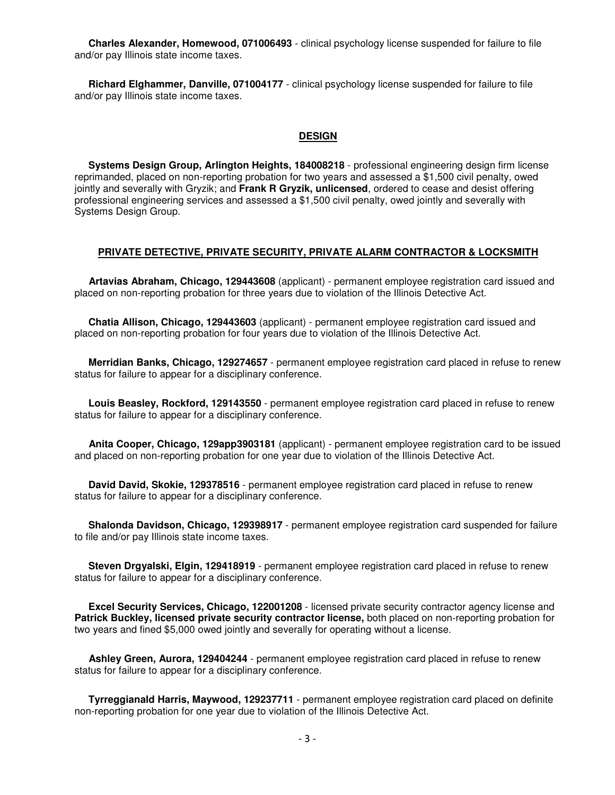**Charles Alexander, Homewood, 071006493** - clinical psychology license suspended for failure to file and/or pay Illinois state income taxes.

 **Richard Elghammer, Danville, 071004177** - clinical psychology license suspended for failure to file and/or pay Illinois state income taxes.

#### **DESIGN**

 **Systems Design Group, Arlington Heights, 184008218** - professional engineering design firm license reprimanded, placed on non-reporting probation for two years and assessed a \$1,500 civil penalty, owed jointly and severally with Gryzik; and **Frank R Gryzik, unlicensed**, ordered to cease and desist offering professional engineering services and assessed a \$1,500 civil penalty, owed jointly and severally with Systems Design Group.

#### **PRIVATE DETECTIVE, PRIVATE SECURITY, PRIVATE ALARM CONTRACTOR & LOCKSMITH**

 **Artavias Abraham, Chicago, 129443608** (applicant) - permanent employee registration card issued and placed on non-reporting probation for three years due to violation of the Illinois Detective Act.

 **Chatia Allison, Chicago, 129443603** (applicant) - permanent employee registration card issued and placed on non-reporting probation for four years due to violation of the Illinois Detective Act.

 **Merridian Banks, Chicago, 129274657** - permanent employee registration card placed in refuse to renew status for failure to appear for a disciplinary conference.

 **Louis Beasley, Rockford, 129143550** - permanent employee registration card placed in refuse to renew status for failure to appear for a disciplinary conference.

 **Anita Cooper, Chicago, 129app3903181** (applicant) - permanent employee registration card to be issued and placed on non-reporting probation for one year due to violation of the Illinois Detective Act.

 **David David, Skokie, 129378516** - permanent employee registration card placed in refuse to renew status for failure to appear for a disciplinary conference.

 **Shalonda Davidson, Chicago, 129398917** - permanent employee registration card suspended for failure to file and/or pay Illinois state income taxes.

 **Steven Drgyalski, Elgin, 129418919** - permanent employee registration card placed in refuse to renew status for failure to appear for a disciplinary conference.

 **Excel Security Services, Chicago, 122001208** - licensed private security contractor agency license and **Patrick Buckley, licensed private security contractor license,** both placed on non-reporting probation for two years and fined \$5,000 owed jointly and severally for operating without a license.

 **Ashley Green, Aurora, 129404244** - permanent employee registration card placed in refuse to renew status for failure to appear for a disciplinary conference.

 **Tyrreggianald Harris, Maywood, 129237711** - permanent employee registration card placed on definite non-reporting probation for one year due to violation of the Illinois Detective Act.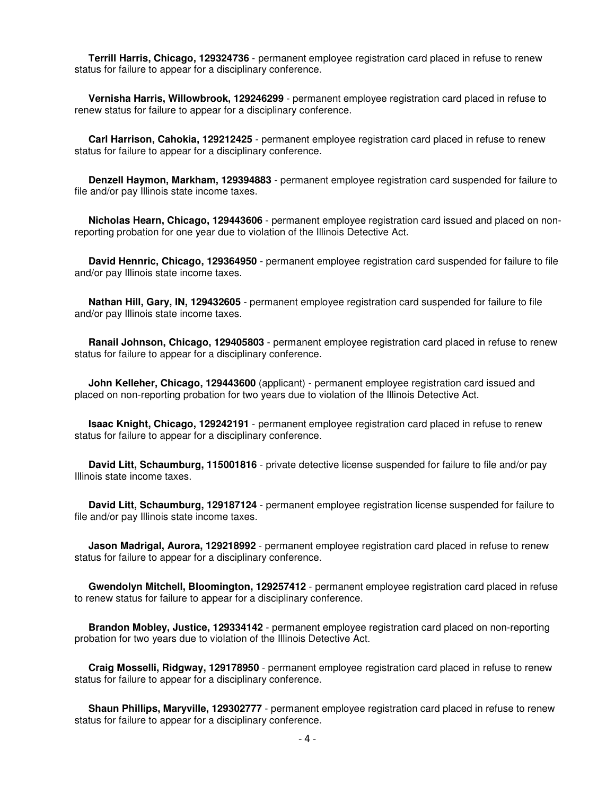**Terrill Harris, Chicago, 129324736** - permanent employee registration card placed in refuse to renew status for failure to appear for a disciplinary conference.

 **Vernisha Harris, Willowbrook, 129246299** - permanent employee registration card placed in refuse to renew status for failure to appear for a disciplinary conference.

 **Carl Harrison, Cahokia, 129212425** - permanent employee registration card placed in refuse to renew status for failure to appear for a disciplinary conference.

 **Denzell Haymon, Markham, 129394883** - permanent employee registration card suspended for failure to file and/or pay Illinois state income taxes.

 **Nicholas Hearn, Chicago, 129443606** - permanent employee registration card issued and placed on nonreporting probation for one year due to violation of the Illinois Detective Act.

 **David Hennric, Chicago, 129364950** - permanent employee registration card suspended for failure to file and/or pay Illinois state income taxes.

 **Nathan Hill, Gary, IN, 129432605** - permanent employee registration card suspended for failure to file and/or pay Illinois state income taxes.

 **Ranail Johnson, Chicago, 129405803** - permanent employee registration card placed in refuse to renew status for failure to appear for a disciplinary conference.

 **John Kelleher, Chicago, 129443600** (applicant) - permanent employee registration card issued and placed on non-reporting probation for two years due to violation of the Illinois Detective Act.

 **Isaac Knight, Chicago, 129242191** - permanent employee registration card placed in refuse to renew status for failure to appear for a disciplinary conference.

 **David Litt, Schaumburg, 115001816** - private detective license suspended for failure to file and/or pay Illinois state income taxes.

 **David Litt, Schaumburg, 129187124** - permanent employee registration license suspended for failure to file and/or pay Illinois state income taxes.

 **Jason Madrigal, Aurora, 129218992** - permanent employee registration card placed in refuse to renew status for failure to appear for a disciplinary conference.

 **Gwendolyn Mitchell, Bloomington, 129257412** - permanent employee registration card placed in refuse to renew status for failure to appear for a disciplinary conference.

 **Brandon Mobley, Justice, 129334142** - permanent employee registration card placed on non-reporting probation for two years due to violation of the Illinois Detective Act.

 **Craig Mosselli, Ridgway, 129178950** - permanent employee registration card placed in refuse to renew status for failure to appear for a disciplinary conference.

**Shaun Phillips, Maryville, 129302777** - permanent employee registration card placed in refuse to renew status for failure to appear for a disciplinary conference.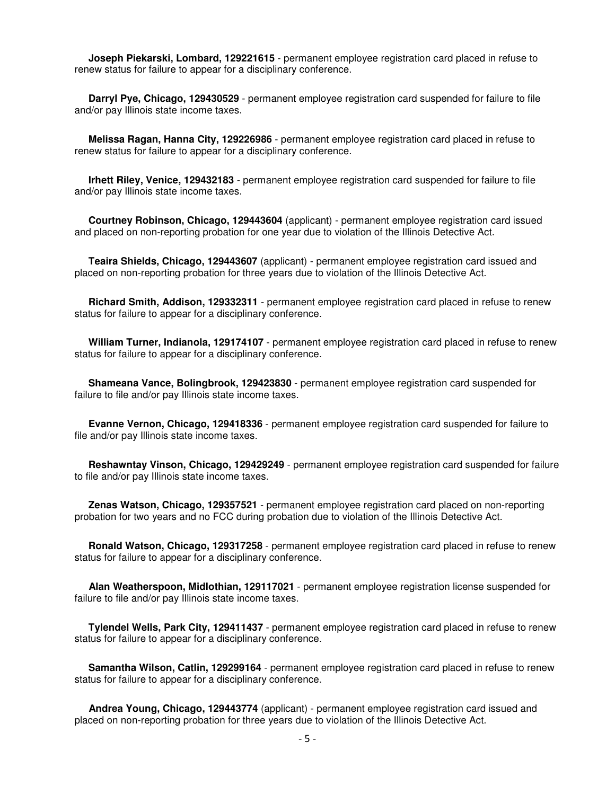**Joseph Piekarski, Lombard, 129221615** - permanent employee registration card placed in refuse to renew status for failure to appear for a disciplinary conference.

 **Darryl Pye, Chicago, 129430529** - permanent employee registration card suspended for failure to file and/or pay Illinois state income taxes.

 **Melissa Ragan, Hanna City, 129226986** - permanent employee registration card placed in refuse to renew status for failure to appear for a disciplinary conference.

 **Irhett Riley, Venice, 129432183** - permanent employee registration card suspended for failure to file and/or pay Illinois state income taxes.

 **Courtney Robinson, Chicago, 129443604** (applicant) - permanent employee registration card issued and placed on non-reporting probation for one year due to violation of the Illinois Detective Act.

 **Teaira Shields, Chicago, 129443607** (applicant) - permanent employee registration card issued and placed on non-reporting probation for three years due to violation of the Illinois Detective Act.

 **Richard Smith, Addison, 129332311** - permanent employee registration card placed in refuse to renew status for failure to appear for a disciplinary conference.

 **William Turner, Indianola, 129174107** - permanent employee registration card placed in refuse to renew status for failure to appear for a disciplinary conference.

 **Shameana Vance, Bolingbrook, 129423830** - permanent employee registration card suspended for failure to file and/or pay Illinois state income taxes.

 **Evanne Vernon, Chicago, 129418336** - permanent employee registration card suspended for failure to file and/or pay Illinois state income taxes.

 **Reshawntay Vinson, Chicago, 129429249** - permanent employee registration card suspended for failure to file and/or pay Illinois state income taxes.

 **Zenas Watson, Chicago, 129357521** - permanent employee registration card placed on non-reporting probation for two years and no FCC during probation due to violation of the Illinois Detective Act.

 **Ronald Watson, Chicago, 129317258** - permanent employee registration card placed in refuse to renew status for failure to appear for a disciplinary conference.

 **Alan Weatherspoon, Midlothian, 129117021** - permanent employee registration license suspended for failure to file and/or pay Illinois state income taxes.

 **Tylendel Wells, Park City, 129411437** - permanent employee registration card placed in refuse to renew status for failure to appear for a disciplinary conference.

 **Samantha Wilson, Catlin, 129299164** - permanent employee registration card placed in refuse to renew status for failure to appear for a disciplinary conference.

 **Andrea Young, Chicago, 129443774** (applicant) - permanent employee registration card issued and placed on non-reporting probation for three years due to violation of the Illinois Detective Act.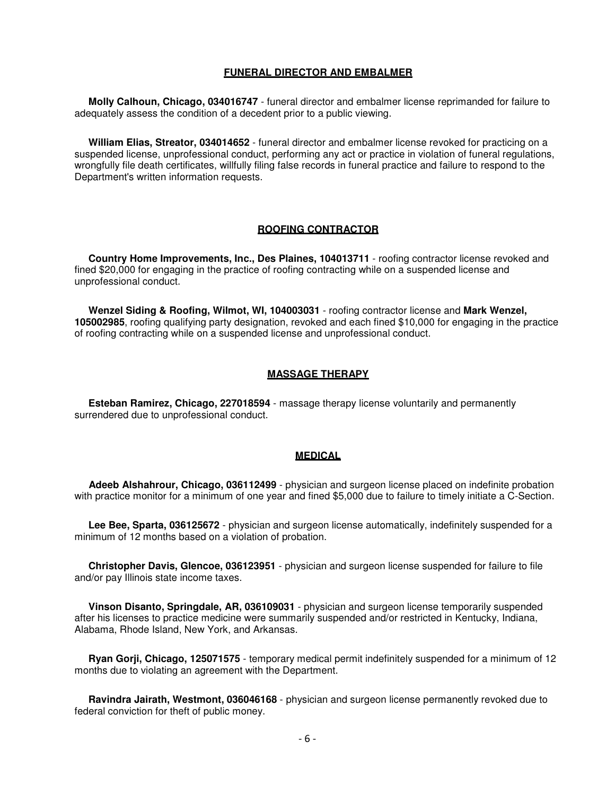#### **FUNERAL DIRECTOR AND EMBALMER**

 **Molly Calhoun, Chicago, 034016747** - funeral director and embalmer license reprimanded for failure to adequately assess the condition of a decedent prior to a public viewing.

 **William Elias, Streator, 034014652** - funeral director and embalmer license revoked for practicing on a suspended license, unprofessional conduct, performing any act or practice in violation of funeral regulations, wrongfully file death certificates, willfully filing false records in funeral practice and failure to respond to the Department's written information requests.

#### **ROOFING CONTRACTOR**

 **Country Home Improvements, Inc., Des Plaines, 104013711** - roofing contractor license revoked and fined \$20,000 for engaging in the practice of roofing contracting while on a suspended license and unprofessional conduct.

 **Wenzel Siding & Roofing, Wilmot, WI, 104003031** - roofing contractor license and **Mark Wenzel, 105002985**, roofing qualifying party designation, revoked and each fined \$10,000 for engaging in the practice of roofing contracting while on a suspended license and unprofessional conduct.

#### **MASSAGE THERAPY**

 **Esteban Ramirez, Chicago, 227018594** - massage therapy license voluntarily and permanently surrendered due to unprofessional conduct.

#### **MEDICAL**

 **Adeeb Alshahrour, Chicago, 036112499** - physician and surgeon license placed on indefinite probation with practice monitor for a minimum of one year and fined \$5,000 due to failure to timely initiate a C-Section.

 **Lee Bee, Sparta, 036125672** - physician and surgeon license automatically, indefinitely suspended for a minimum of 12 months based on a violation of probation.

 **Christopher Davis, Glencoe, 036123951** - physician and surgeon license suspended for failure to file and/or pay Illinois state income taxes.

 **Vinson Disanto, Springdale, AR, 036109031** - physician and surgeon license temporarily suspended after his licenses to practice medicine were summarily suspended and/or restricted in Kentucky, Indiana, Alabama, Rhode Island, New York, and Arkansas.

 **Ryan Gorji, Chicago, 125071575** - temporary medical permit indefinitely suspended for a minimum of 12 months due to violating an agreement with the Department.

 **Ravindra Jairath, Westmont, 036046168** - physician and surgeon license permanently revoked due to federal conviction for theft of public money.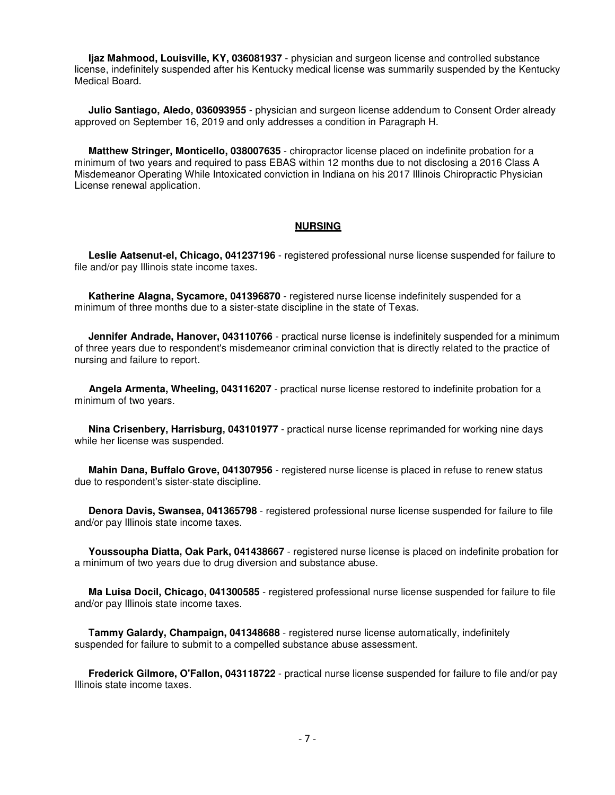**Ijaz Mahmood, Louisville, KY, 036081937** - physician and surgeon license and controlled substance license, indefinitely suspended after his Kentucky medical license was summarily suspended by the Kentucky Medical Board.

 **Julio Santiago, Aledo, 036093955** - physician and surgeon license addendum to Consent Order already approved on September 16, 2019 and only addresses a condition in Paragraph H.

 **Matthew Stringer, Monticello, 038007635** - chiropractor license placed on indefinite probation for a minimum of two years and required to pass EBAS within 12 months due to not disclosing a 2016 Class A Misdemeanor Operating While Intoxicated conviction in Indiana on his 2017 Illinois Chiropractic Physician License renewal application.

#### **NURSING**

 **Leslie Aatsenut-el, Chicago, 041237196** - registered professional nurse license suspended for failure to file and/or pay Illinois state income taxes.

 **Katherine Alagna, Sycamore, 041396870** - registered nurse license indefinitely suspended for a minimum of three months due to a sister-state discipline in the state of Texas.

**Jennifer Andrade, Hanover, 043110766** - practical nurse license is indefinitely suspended for a minimum of three years due to respondent's misdemeanor criminal conviction that is directly related to the practice of nursing and failure to report.

 **Angela Armenta, Wheeling, 043116207** - practical nurse license restored to indefinite probation for a minimum of two years.

 **Nina Crisenbery, Harrisburg, 043101977** - practical nurse license reprimanded for working nine days while her license was suspended.

 **Mahin Dana, Buffalo Grove, 041307956** - registered nurse license is placed in refuse to renew status due to respondent's sister-state discipline.

 **Denora Davis, Swansea, 041365798** - registered professional nurse license suspended for failure to file and/or pay Illinois state income taxes.

 **Youssoupha Diatta, Oak Park, 041438667** - registered nurse license is placed on indefinite probation for a minimum of two years due to drug diversion and substance abuse.

 **Ma Luisa Docil, Chicago, 041300585** - registered professional nurse license suspended for failure to file and/or pay Illinois state income taxes.

 **Tammy Galardy, Champaign, 041348688** - registered nurse license automatically, indefinitely suspended for failure to submit to a compelled substance abuse assessment.

 **Frederick Gilmore, O'Fallon, 043118722** - practical nurse license suspended for failure to file and/or pay Illinois state income taxes.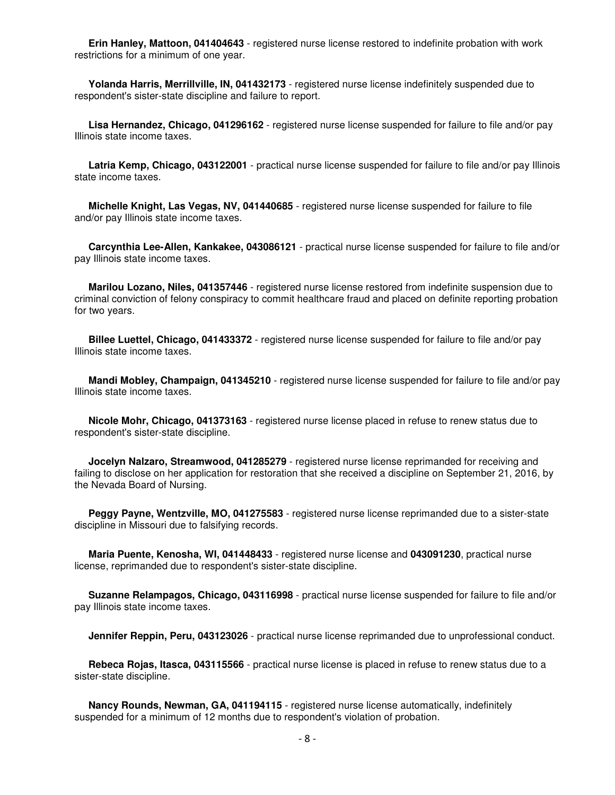**Erin Hanley, Mattoon, 041404643** - registered nurse license restored to indefinite probation with work restrictions for a minimum of one year.

 **Yolanda Harris, Merrillville, IN, 041432173** - registered nurse license indefinitely suspended due to respondent's sister-state discipline and failure to report.

 **Lisa Hernandez, Chicago, 041296162** - registered nurse license suspended for failure to file and/or pay Illinois state income taxes.

 **Latria Kemp, Chicago, 043122001** - practical nurse license suspended for failure to file and/or pay Illinois state income taxes.

 **Michelle Knight, Las Vegas, NV, 041440685** - registered nurse license suspended for failure to file and/or pay Illinois state income taxes.

 **Carcynthia Lee-Allen, Kankakee, 043086121** - practical nurse license suspended for failure to file and/or pay Illinois state income taxes.

 **Marilou Lozano, Niles, 041357446** - registered nurse license restored from indefinite suspension due to criminal conviction of felony conspiracy to commit healthcare fraud and placed on definite reporting probation for two years.

 **Billee Luettel, Chicago, 041433372** - registered nurse license suspended for failure to file and/or pay Illinois state income taxes.

 **Mandi Mobley, Champaign, 041345210** - registered nurse license suspended for failure to file and/or pay Illinois state income taxes.

 **Nicole Mohr, Chicago, 041373163** - registered nurse license placed in refuse to renew status due to respondent's sister-state discipline.

 **Jocelyn Nalzaro, Streamwood, 041285279** - registered nurse license reprimanded for receiving and failing to disclose on her application for restoration that she received a discipline on September 21, 2016, by the Nevada Board of Nursing.

 **Peggy Payne, Wentzville, MO, 041275583** - registered nurse license reprimanded due to a sister-state discipline in Missouri due to falsifying records.

 **Maria Puente, Kenosha, WI, 041448433** - registered nurse license and **043091230**, practical nurse license, reprimanded due to respondent's sister-state discipline.

 **Suzanne Relampagos, Chicago, 043116998** - practical nurse license suspended for failure to file and/or pay Illinois state income taxes.

**Jennifer Reppin, Peru, 043123026** - practical nurse license reprimanded due to unprofessional conduct.

 **Rebeca Rojas, Itasca, 043115566** - practical nurse license is placed in refuse to renew status due to a sister-state discipline.

 **Nancy Rounds, Newman, GA, 041194115** - registered nurse license automatically, indefinitely suspended for a minimum of 12 months due to respondent's violation of probation.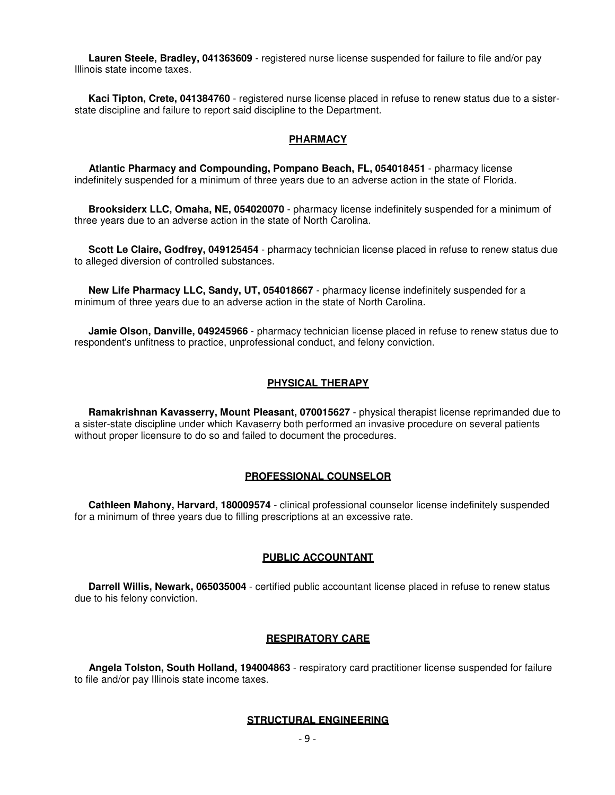**Lauren Steele, Bradley, 041363609** - registered nurse license suspended for failure to file and/or pay Illinois state income taxes.

 **Kaci Tipton, Crete, 041384760** - registered nurse license placed in refuse to renew status due to a sisterstate discipline and failure to report said discipline to the Department.

#### **PHARMACY**

 **Atlantic Pharmacy and Compounding, Pompano Beach, FL, 054018451** - pharmacy license indefinitely suspended for a minimum of three years due to an adverse action in the state of Florida.

 **Brooksiderx LLC, Omaha, NE, 054020070** - pharmacy license indefinitely suspended for a minimum of three years due to an adverse action in the state of North Carolina.

 **Scott Le Claire, Godfrey, 049125454** - pharmacy technician license placed in refuse to renew status due to alleged diversion of controlled substances.

 **New Life Pharmacy LLC, Sandy, UT, 054018667** - pharmacy license indefinitely suspended for a minimum of three years due to an adverse action in the state of North Carolina.

 **Jamie Olson, Danville, 049245966** - pharmacy technician license placed in refuse to renew status due to respondent's unfitness to practice, unprofessional conduct, and felony conviction.

#### **PHYSICAL THERAPY**

 **Ramakrishnan Kavasserry, Mount Pleasant, 070015627** - physical therapist license reprimanded due to a sister-state discipline under which Kavaserry both performed an invasive procedure on several patients without proper licensure to do so and failed to document the procedures.

#### **PROFESSIONAL COUNSELOR**

 **Cathleen Mahony, Harvard, 180009574** - clinical professional counselor license indefinitely suspended for a minimum of three years due to filling prescriptions at an excessive rate.

#### **PUBLIC ACCOUNTANT**

 **Darrell Willis, Newark, 065035004** - certified public accountant license placed in refuse to renew status due to his felony conviction.

#### **RESPIRATORY CARE**

 **Angela Tolston, South Holland, 194004863** - respiratory card practitioner license suspended for failure to file and/or pay Illinois state income taxes.

#### **STRUCTURAL ENGINEERING**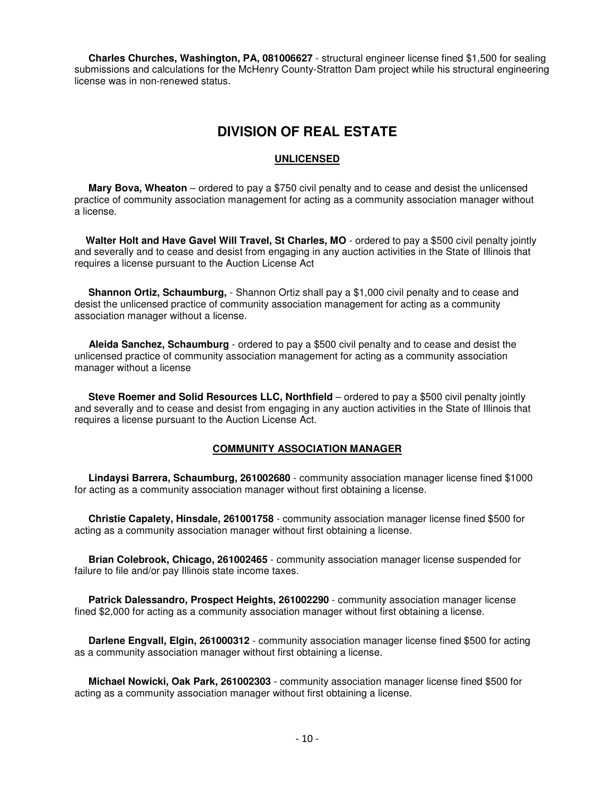**Charles Churches, Washington, PA, 081006627** - structural engineer license fined \$1,500 for sealing submissions and calculations for the McHenry County-Stratton Dam project while his structural engineering license was in non-renewed status.

## **DIVISION OF REAL ESTATE**

#### **UNLICENSED**

 **Mary Bova, Wheaton** – ordered to pay a \$750 civil penalty and to cease and desist the unlicensed practice of community association management for acting as a community association manager without a license.

 **Walter Holt and Have Gavel Will Travel, St Charles, MO** - ordered to pay a \$500 civil penalty jointly and severally and to cease and desist from engaging in any auction activities in the State of Illinois that requires a license pursuant to the Auction License Act

 **Shannon Ortiz, Schaumburg,** - Shannon Ortiz shall pay a \$1,000 civil penalty and to cease and desist the unlicensed practice of community association management for acting as a community association manager without a license.

 **Aleida Sanchez, Schaumburg** - ordered to pay a \$500 civil penalty and to cease and desist the unlicensed practice of community association management for acting as a community association manager without a license

**Steve Roemer and Solid Resources LLC, Northfield** – ordered to pay a \$500 civil penalty jointly and severally and to cease and desist from engaging in any auction activities in the State of Illinois that requires a license pursuant to the Auction License Act.

#### **COMMUNITY ASSOCIATION MANAGER**

 **Lindaysi Barrera, Schaumburg, 261002680** - community association manager license fined \$1000 for acting as a community association manager without first obtaining a license.

 **Christie Capalety, Hinsdale, 261001758** - community association manager license fined \$500 for acting as a community association manager without first obtaining a license.

 **Brian Colebrook, Chicago, 261002465** - community association manager license suspended for failure to file and/or pay Illinois state income taxes.

 **Patrick Dalessandro, Prospect Heights, 261002290** - community association manager license fined \$2,000 for acting as a community association manager without first obtaining a license.

 **Darlene Engvall, Elgin, 261000312** - community association manager license fined \$500 for acting as a community association manager without first obtaining a license.

 **Michael Nowicki, Oak Park, 261002303** - community association manager license fined \$500 for acting as a community association manager without first obtaining a license.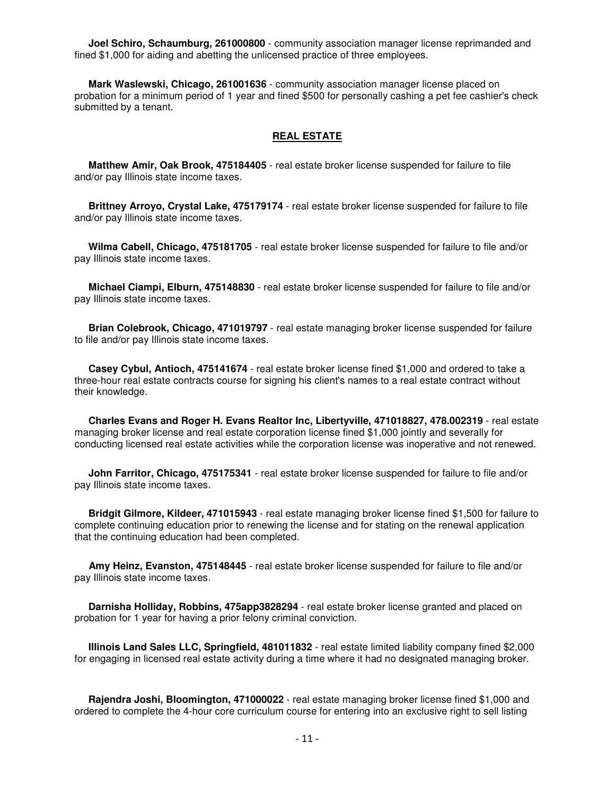**Joel Schiro, Schaumburg, 261000800** - community association manager license reprimanded and fined \$1,000 for aiding and abetting the unlicensed practice of three employees.

 **Mark Waslewski, Chicago, 261001636** - community association manager license placed on probation for a minimum period of 1 year and fined \$500 for personally cashing a pet fee cashier's check submitted by a tenant.

#### **REAL ESTATE**

 **Matthew Amir, Oak Brook, 475184405** - real estate broker license suspended for failure to file and/or pay Illinois state income taxes.

 **Brittney Arroyo, Crystal Lake, 475179174** - real estate broker license suspended for failure to file and/or pay Illinois state income taxes.

 **Wilma Cabell, Chicago, 475181705** - real estate broker license suspended for failure to file and/or pay Illinois state income taxes.

 **Michael Ciampi, Elburn, 475148830** - real estate broker license suspended for failure to file and/or pay Illinois state income taxes.

 **Brian Colebrook, Chicago, 471019797** - real estate managing broker license suspended for failure to file and/or pay Illinois state income taxes.

 **Casey Cybul, Antioch, 475141674** - real estate broker license fined \$1,000 and ordered to take a three-hour real estate contracts course for signing his client's names to a real estate contract without their knowledge.

 **Charles Evans and Roger H. Evans Realtor Inc, Libertyville, 471018827, 478.002319** - real estate managing broker license and real estate corporation license fined \$1,000 jointly and severally for conducting licensed real estate activities while the corporation license was inoperative and not renewed.

 **John Farritor, Chicago, 475175341** - real estate broker license suspended for failure to file and/or pay Illinois state income taxes.

 **Bridgit Gilmore, Kildeer, 471015943** - real estate managing broker license fined \$1,500 for failure to complete continuing education prior to renewing the license and for stating on the renewal application that the continuing education had been completed.

 **Amy Heinz, Evanston, 475148445** - real estate broker license suspended for failure to file and/or pay Illinois state income taxes.

 **Darnisha Holliday, Robbins, 475app3828294** - real estate broker license granted and placed on probation for 1 year for having a prior felony criminal conviction.

 **Illinois Land Sales LLC, Springfield, 481011832** - real estate limited liability company fined \$2,000 for engaging in licensed real estate activity during a time where it had no designated managing broker.

 **Rajendra Joshi, Bloomington, 471000022** - real estate managing broker license fined \$1,000 and ordered to complete the 4-hour core curriculum course for entering into an exclusive right to sell listing